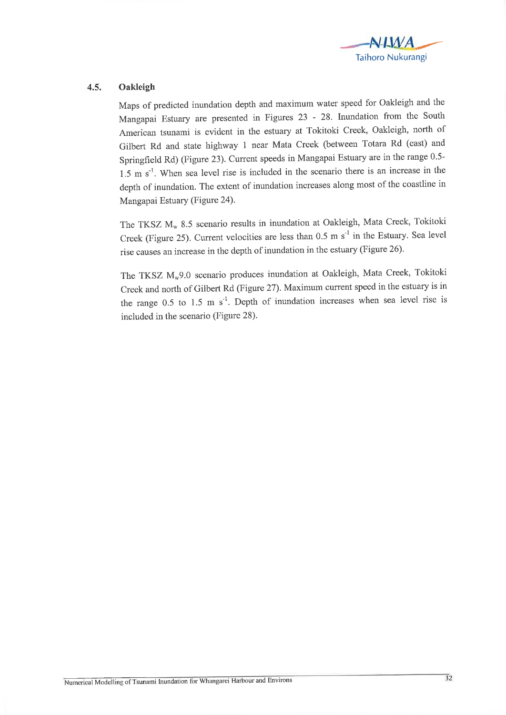

## 4.5. Oakleigh

Maps of predicted inundation depth and maximum water speed for Oakleigh and the Mangapai Estuary are presented in Figures 23 - 28. Inundation from the South American tsunami is evident in the estuary at Tokitoki creek, oakleigh, north of Gilbert Rd and state highway 1 near Mata Creek (between Totara Rd (east) and Springfield Rd) (Figure 23). Current speeds in Mangapai Estuary are in the range 0.5-1.5 m  $s^{-1}$ . When sea level rise is included in the scenario there is an increase in the depth of inundation. The extent of inundation increases along most of the coastline in Mangapai Estuary (Figure 24).

The TKSZ  $M_w$  8.5 scenario results in inundation at Oakleigh, Mata Creek, Tokitoki Creek (Figure 25). Current velocities are less than  $0.5 \text{ m s}^{-1}$  in the Estuary. Sea level rise causes an increase in the depth of inundation in the estuary (Figure 26).

The TKSZ M<sub>w</sub>9.0 scenario produces inundation at Oakleigh, Mata Creek, Tokitoki Creek and north of Gilbert Rd (Figure 27). Maximum current speed in the estuary is in the range 0.5 to 1.5 m  $s^{-1}$ . Depth of inundation increases when sea level rise is included in the scenario (Figure 28).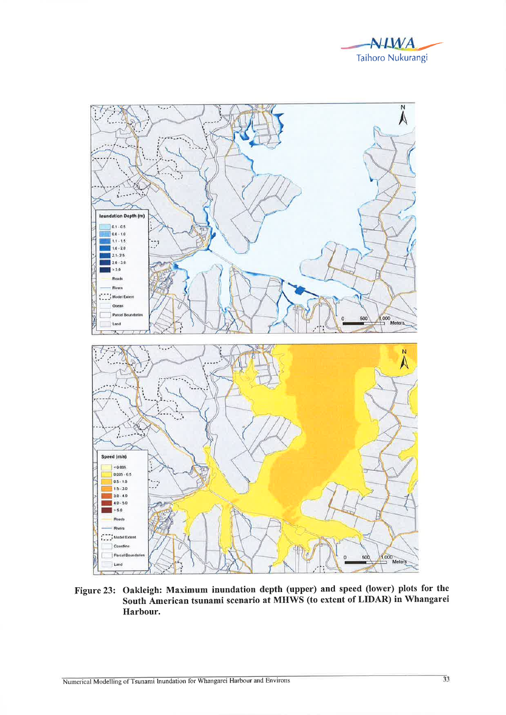



Figure 23: Oakleigh: Maximum inundation depth (upper) and speed (lower) plots for the South American tsunami scenario at MHWS (to extent of LIDAR) in Whangarei Harbour.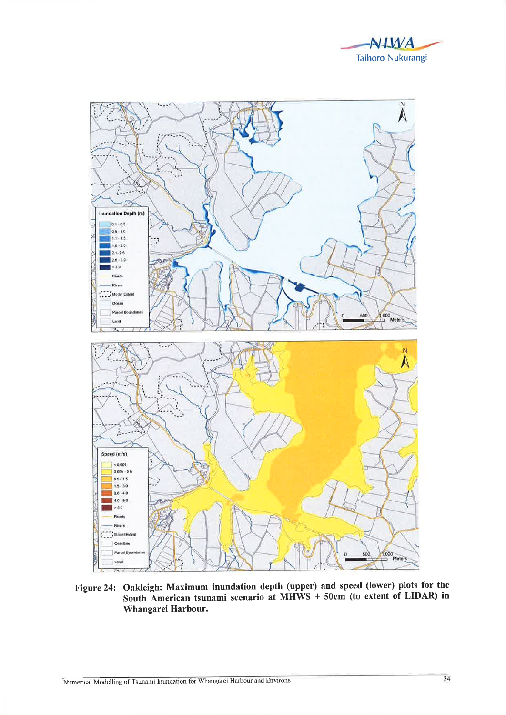



Figure 24: Oakleigh: Maximum inundation depth (upper) and speed (lower) plots for the South American tsunami scenario at MHWS + 50cm (to extent of LIDAR) in Whangarei Harbour.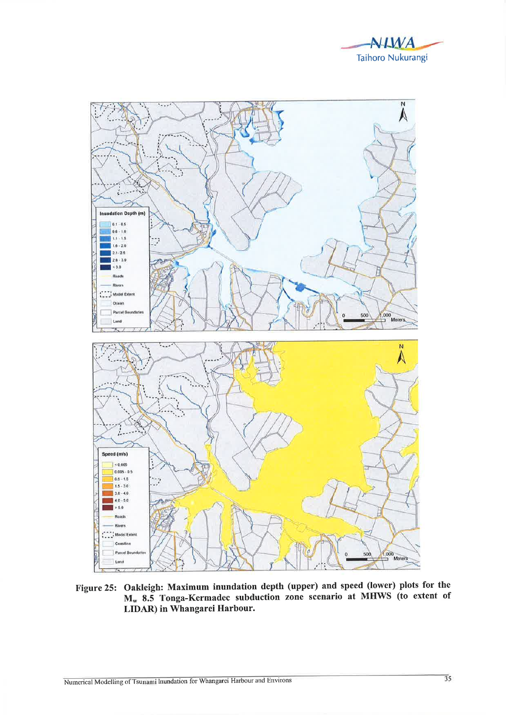



Figure 25: Oakleigh: Maximum inundation depth (upper) and speed (lower) plots for the  $M_w$  8.5 Tonga-Kermadec subduction zone scenario at MHWS (to extent of LIDAR) in Whangarei Harbour.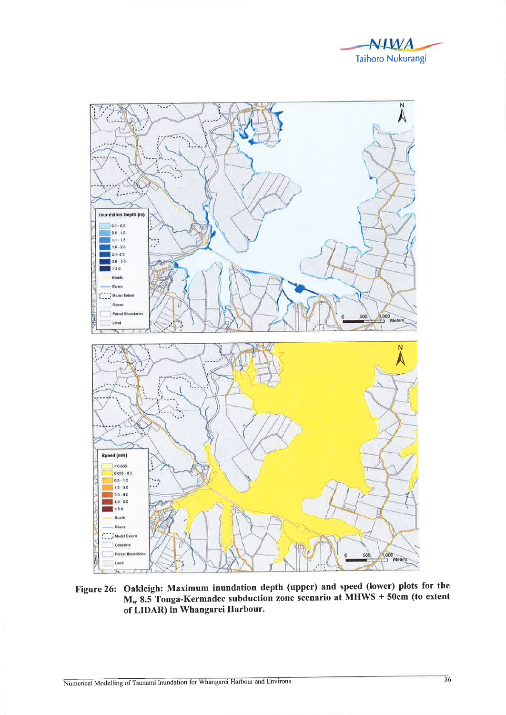



Figure 26: Oakleigh: Maximum inundation depth (upper) and speed (lower) plots for the  $M_w$  8.5 Tonga-Kermadec subduction zone scenario at MHWS + 50cm (to extent of LIDAR) in Whangarei Harbour.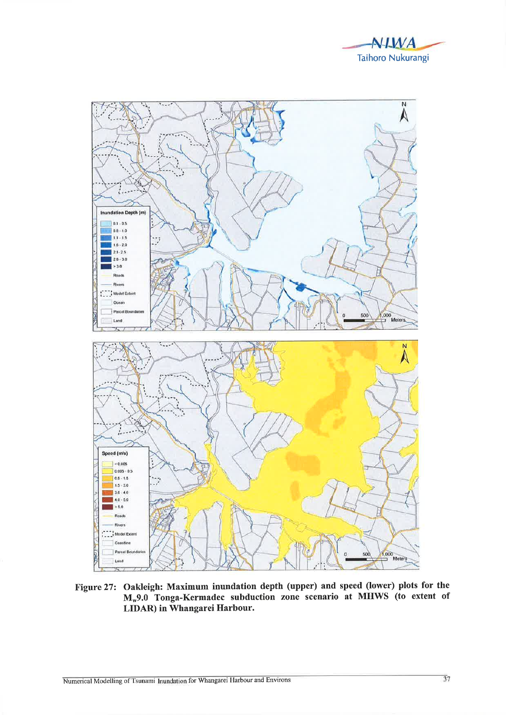



Figure 27: Oakleigh: Maximum inundation depth (upper) and speed (lower) plots for the M<sub>w</sub>9.0 Tonga-Kermadec subduction zone scenario at MHWS (to extent of LIDAR) in Whangarei Harbour.